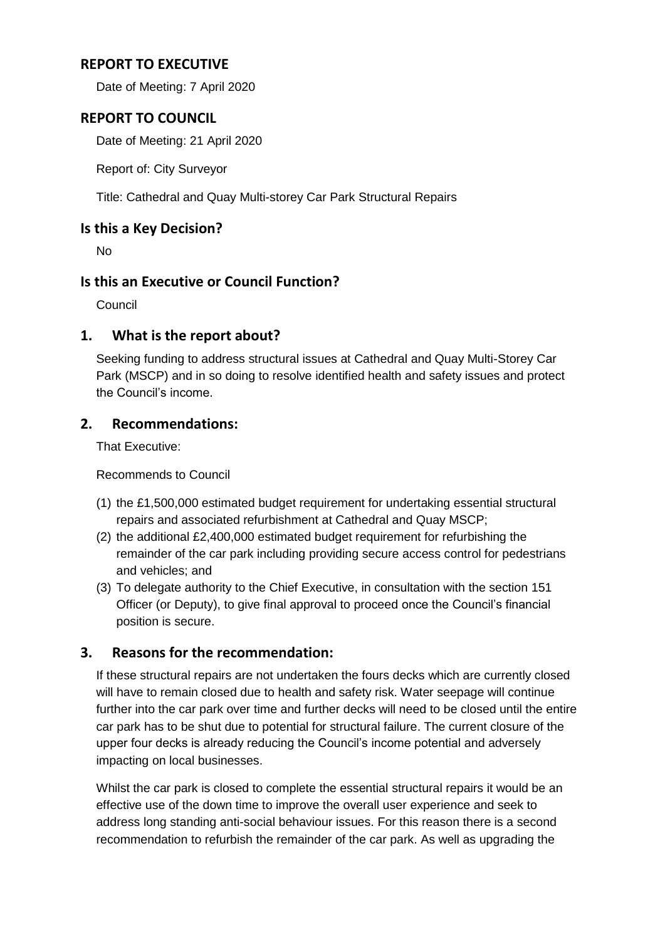### **REPORT TO EXECUTIVE**

Date of Meeting: 7 April 2020

### **REPORT TO COUNCIL**

Date of Meeting: 21 April 2020

Report of: City Surveyor

Title: Cathedral and Quay Multi-storey Car Park Structural Repairs

### **Is this a Key Decision?**

No

### **Is this an Executive or Council Function?**

Council

### **1. What is the report about?**

Seeking funding to address structural issues at Cathedral and Quay Multi-Storey Car Park (MSCP) and in so doing to resolve identified health and safety issues and protect the Council's income.

### **2. Recommendations:**

That Executive:

Recommends to Council

- (1) the £1,500,000 estimated budget requirement for undertaking essential structural repairs and associated refurbishment at Cathedral and Quay MSCP;
- (2) the additional £2,400,000 estimated budget requirement for refurbishing the remainder of the car park including providing secure access control for pedestrians and vehicles; and
- (3) To delegate authority to the Chief Executive, in consultation with the section 151 Officer (or Deputy), to give final approval to proceed once the Council's financial position is secure.

# **3. Reasons for the recommendation:**

If these structural repairs are not undertaken the fours decks which are currently closed will have to remain closed due to health and safety risk. Water seepage will continue further into the car park over time and further decks will need to be closed until the entire car park has to be shut due to potential for structural failure. The current closure of the upper four decks is already reducing the Council's income potential and adversely impacting on local businesses.

Whilst the car park is closed to complete the essential structural repairs it would be an effective use of the down time to improve the overall user experience and seek to address long standing anti-social behaviour issues. For this reason there is a second recommendation to refurbish the remainder of the car park. As well as upgrading the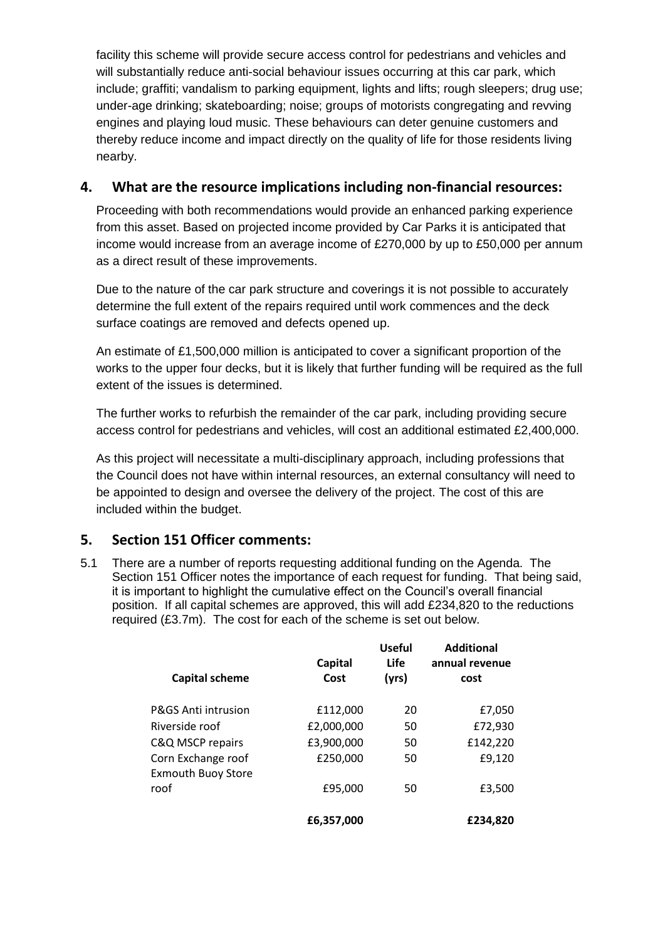facility this scheme will provide secure access control for pedestrians and vehicles and will substantially reduce anti-social behaviour issues occurring at this car park, which include; graffiti; vandalism to parking equipment, lights and lifts; rough sleepers; drug use; under-age drinking; skateboarding; noise; groups of motorists congregating and revving engines and playing loud music. These behaviours can deter genuine customers and thereby reduce income and impact directly on the quality of life for those residents living nearby.

### **4. What are the resource implications including non-financial resources:**

Proceeding with both recommendations would provide an enhanced parking experience from this asset. Based on projected income provided by Car Parks it is anticipated that income would increase from an average income of £270,000 by up to £50,000 per annum as a direct result of these improvements.

Due to the nature of the car park structure and coverings it is not possible to accurately determine the full extent of the repairs required until work commences and the deck surface coatings are removed and defects opened up.

An estimate of £1,500,000 million is anticipated to cover a significant proportion of the works to the upper four decks, but it is likely that further funding will be required as the full extent of the issues is determined.

The further works to refurbish the remainder of the car park, including providing secure access control for pedestrians and vehicles, will cost an additional estimated £2,400,000.

As this project will necessitate a multi-disciplinary approach, including professions that the Council does not have within internal resources, an external consultancy will need to be appointed to design and oversee the delivery of the project. The cost of this are included within the budget.

# **5. Section 151 Officer comments:**

5.1 There are a number of reports requesting additional funding on the Agenda. The Section 151 Officer notes the importance of each request for funding. That being said, it is important to highlight the cumulative effect on the Council's overall financial position. If all capital schemes are approved, this will add £234,820 to the reductions required (£3.7m). The cost for each of the scheme is set out below.

| <b>Capital scheme</b>                           | <b>Capital</b><br>Cost | <b>Useful</b><br>Life<br>(yrs) | <b>Additional</b><br>annual revenue<br>cost |
|-------------------------------------------------|------------------------|--------------------------------|---------------------------------------------|
| P&GS Anti intrusion                             | £112,000               | 20                             | £7,050                                      |
| Riverside roof                                  | £2,000,000             | 50                             | £72,930                                     |
| C&Q MSCP repairs                                | £3,900,000             | 50                             | £142,220                                    |
| Corn Exchange roof<br><b>Exmouth Buoy Store</b> | £250,000               | 50                             | £9,120                                      |
| roof                                            | £95.000                | 50                             | £3,500                                      |
|                                                 | £6,357,000             |                                | £234,820                                    |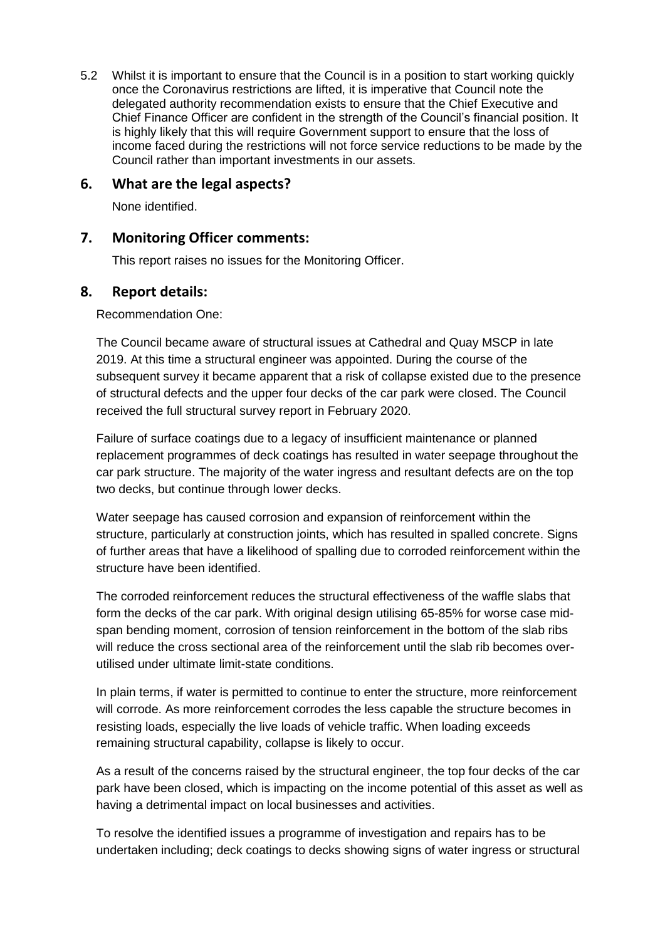5.2 Whilst it is important to ensure that the Council is in a position to start working quickly once the Coronavirus restrictions are lifted, it is imperative that Council note the delegated authority recommendation exists to ensure that the Chief Executive and Chief Finance Officer are confident in the strength of the Council's financial position. It is highly likely that this will require Government support to ensure that the loss of income faced during the restrictions will not force service reductions to be made by the Council rather than important investments in our assets.

### **6. What are the legal aspects?**

None identified.

#### **7. Monitoring Officer comments:**

This report raises no issues for the Monitoring Officer.

#### **8. Report details:**

Recommendation One:

The Council became aware of structural issues at Cathedral and Quay MSCP in late 2019. At this time a structural engineer was appointed. During the course of the subsequent survey it became apparent that a risk of collapse existed due to the presence of structural defects and the upper four decks of the car park were closed. The Council received the full structural survey report in February 2020.

Failure of surface coatings due to a legacy of insufficient maintenance or planned replacement programmes of deck coatings has resulted in water seepage throughout the car park structure. The majority of the water ingress and resultant defects are on the top two decks, but continue through lower decks.

Water seepage has caused corrosion and expansion of reinforcement within the structure, particularly at construction joints, which has resulted in spalled concrete. Signs of further areas that have a likelihood of spalling due to corroded reinforcement within the structure have been identified.

The corroded reinforcement reduces the structural effectiveness of the waffle slabs that form the decks of the car park. With original design utilising 65-85% for worse case midspan bending moment, corrosion of tension reinforcement in the bottom of the slab ribs will reduce the cross sectional area of the reinforcement until the slab rib becomes overutilised under ultimate limit-state conditions.

In plain terms, if water is permitted to continue to enter the structure, more reinforcement will corrode. As more reinforcement corrodes the less capable the structure becomes in resisting loads, especially the live loads of vehicle traffic. When loading exceeds remaining structural capability, collapse is likely to occur.

As a result of the concerns raised by the structural engineer, the top four decks of the car park have been closed, which is impacting on the income potential of this asset as well as having a detrimental impact on local businesses and activities.

To resolve the identified issues a programme of investigation and repairs has to be undertaken including; deck coatings to decks showing signs of water ingress or structural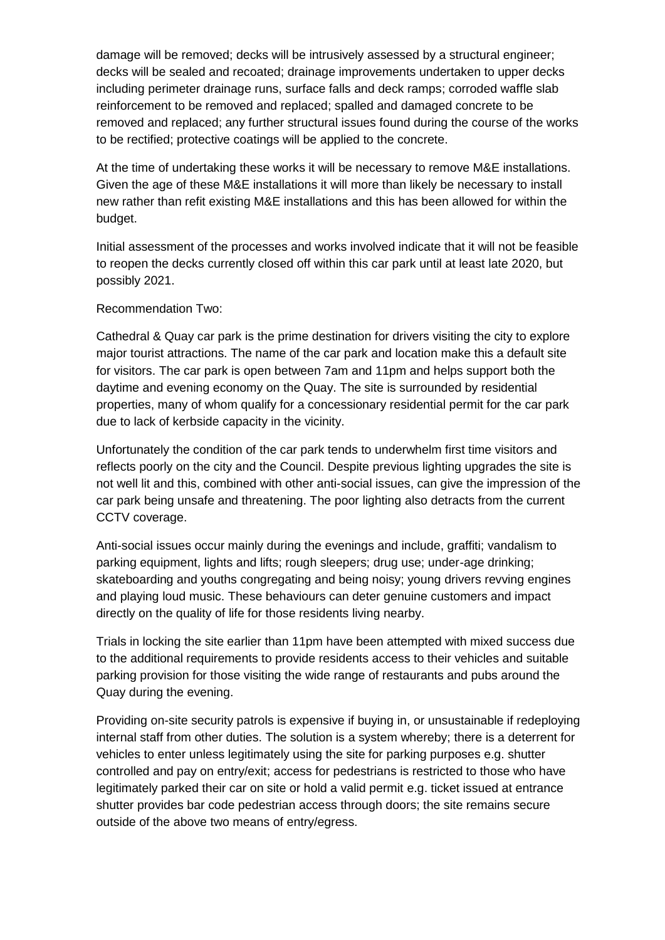damage will be removed; decks will be intrusively assessed by a structural engineer; decks will be sealed and recoated; drainage improvements undertaken to upper decks including perimeter drainage runs, surface falls and deck ramps; corroded waffle slab reinforcement to be removed and replaced; spalled and damaged concrete to be removed and replaced; any further structural issues found during the course of the works to be rectified; protective coatings will be applied to the concrete.

At the time of undertaking these works it will be necessary to remove M&E installations. Given the age of these M&E installations it will more than likely be necessary to install new rather than refit existing M&E installations and this has been allowed for within the budget.

Initial assessment of the processes and works involved indicate that it will not be feasible to reopen the decks currently closed off within this car park until at least late 2020, but possibly 2021.

#### Recommendation Two:

Cathedral & Quay car park is the prime destination for drivers visiting the city to explore major tourist attractions. The name of the car park and location make this a default site for visitors. The car park is open between 7am and 11pm and helps support both the daytime and evening economy on the Quay. The site is surrounded by residential properties, many of whom qualify for a concessionary residential permit for the car park due to lack of kerbside capacity in the vicinity.

Unfortunately the condition of the car park tends to underwhelm first time visitors and reflects poorly on the city and the Council. Despite previous lighting upgrades the site is not well lit and this, combined with other anti-social issues, can give the impression of the car park being unsafe and threatening. The poor lighting also detracts from the current CCTV coverage.

Anti-social issues occur mainly during the evenings and include, graffiti; vandalism to parking equipment, lights and lifts; rough sleepers; drug use; under-age drinking; skateboarding and youths congregating and being noisy; young drivers revving engines and playing loud music. These behaviours can deter genuine customers and impact directly on the quality of life for those residents living nearby.

Trials in locking the site earlier than 11pm have been attempted with mixed success due to the additional requirements to provide residents access to their vehicles and suitable parking provision for those visiting the wide range of restaurants and pubs around the Quay during the evening.

Providing on-site security patrols is expensive if buying in, or unsustainable if redeploying internal staff from other duties. The solution is a system whereby; there is a deterrent for vehicles to enter unless legitimately using the site for parking purposes e.g. shutter controlled and pay on entry/exit; access for pedestrians is restricted to those who have legitimately parked their car on site or hold a valid permit e.g. ticket issued at entrance shutter provides bar code pedestrian access through doors; the site remains secure outside of the above two means of entry/egress.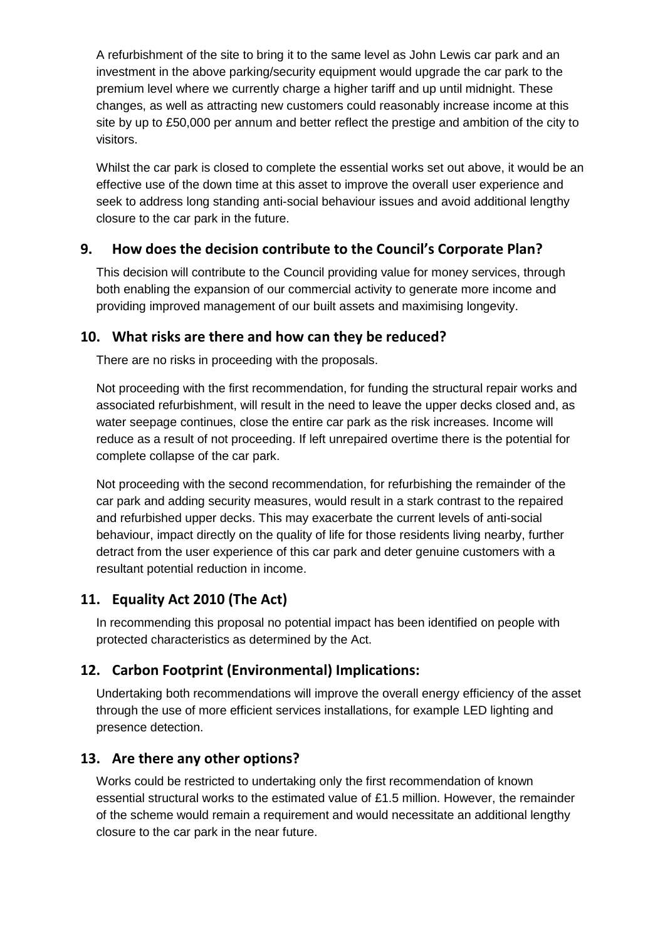A refurbishment of the site to bring it to the same level as John Lewis car park and an investment in the above parking/security equipment would upgrade the car park to the premium level where we currently charge a higher tariff and up until midnight. These changes, as well as attracting new customers could reasonably increase income at this site by up to £50,000 per annum and better reflect the prestige and ambition of the city to visitors.

Whilst the car park is closed to complete the essential works set out above, it would be an effective use of the down time at this asset to improve the overall user experience and seek to address long standing anti-social behaviour issues and avoid additional lengthy closure to the car park in the future.

# **9. How does the decision contribute to the Council's Corporate Plan?**

This decision will contribute to the Council providing value for money services, through both enabling the expansion of our commercial activity to generate more income and providing improved management of our built assets and maximising longevity.

# **10. What risks are there and how can they be reduced?**

There are no risks in proceeding with the proposals.

Not proceeding with the first recommendation, for funding the structural repair works and associated refurbishment, will result in the need to leave the upper decks closed and, as water seepage continues, close the entire car park as the risk increases. Income will reduce as a result of not proceeding. If left unrepaired overtime there is the potential for complete collapse of the car park.

Not proceeding with the second recommendation, for refurbishing the remainder of the car park and adding security measures, would result in a stark contrast to the repaired and refurbished upper decks. This may exacerbate the current levels of anti-social behaviour, impact directly on the quality of life for those residents living nearby, further detract from the user experience of this car park and deter genuine customers with a resultant potential reduction in income.

# **11. Equality Act 2010 (The Act)**

In recommending this proposal no potential impact has been identified on people with protected characteristics as determined by the Act.

# **12. Carbon Footprint (Environmental) Implications:**

Undertaking both recommendations will improve the overall energy efficiency of the asset through the use of more efficient services installations, for example LED lighting and presence detection.

# **13. Are there any other options?**

Works could be restricted to undertaking only the first recommendation of known essential structural works to the estimated value of £1.5 million. However, the remainder of the scheme would remain a requirement and would necessitate an additional lengthy closure to the car park in the near future.